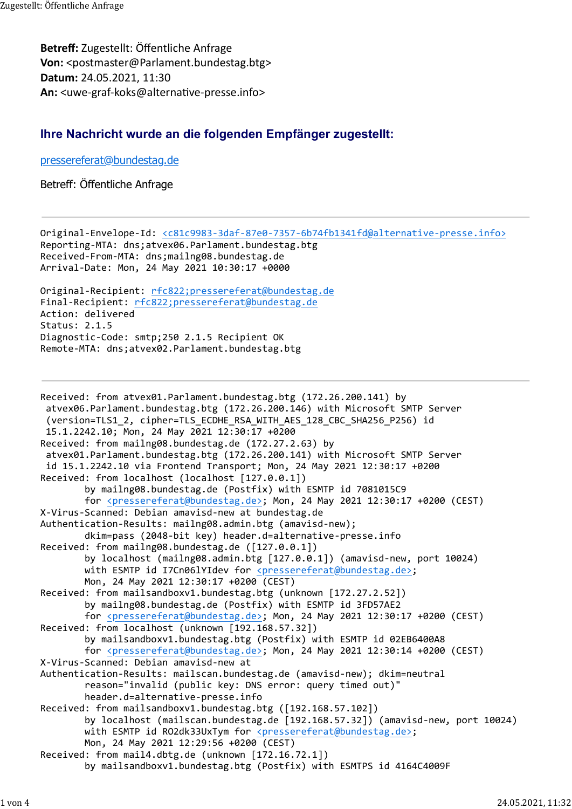Betreff: Zugestellt: Öffentliche Anfrage Von: <postmaster@Parlament.bundestag.btg> Datum: 24.05.2021, 11:30 An: <uwe-graf-koks@alternative-presse.info> Zugestellt: Öffentliche Anfrage<br>**Betreff:** Zugestellt: Öffentliche Anfrage<br>**Von:** <postmaster@Parlament.bundestag.btg>

## Ihre Nachricht wurde an die folgenden Empfänger zugestellt:

## pressereferat@bundestag.de

## Betreff: Öffentliche Anfrage

Original-Envelope-Id: <c81c9983-3daf-87e0-7357-6b74fb1341fd@alternative-presse.info> Reporting-MTA: dns;atvex06.Parlament.bundestag.btg Received-From-MTA: dns;mailng08.bundestag.de Arrival-Date: Mon, 24 May 2021 10:30:17 +0000

Original-Recipient: rfc822;pressereferat@bundestag.de Final-Recipient: rfc822;pressereferat@bundestag.de Action: delivered Status: 2.1.5 Diagnostic-Code: smtp;250 2.1.5 Recipient OK Remote-MTA: dns;atvex02.Parlament.bundestag.btg

```
Received: from atvex01.Parlament.bundestag.btg (172.26.200.141) by
  atvex06.Parlament.bundestag.btg (172.26.200.146) with Microsoft SMTP Server
  (version=TLS1_2, cipher=TLS_ECDHE_RSA_WITH_AES_128_CBC_SHA256_P256) id
  15.1.2242.10; Mon, 24 May 2021 12:30:17 +0200
Received: from mailng08.bundestag.de (172.27.2.63) by
  atvex01.Parlament.bundestag.btg (172.26.200.141) with Microsoft SMTP Server
  id 15.1.2242.10 via Frontend Transport; Mon, 24 May 2021 12:30:17 +0200
Received: from localhost (localhost [127.0.0.1])
        by mailng08.bundestag.de (Postfix) with ESMTP id 7081015C9
        for <pressereferat@bundestag.de>; Mon, 24 May 2021 12:30:17 +0200 (CEST)
X-Virus-Scanned: Debian amavisd-new at bundestag.de
Authentication-Results: mailng08.admin.btg (amavisd-new);
        dkim=pass (2048-bit key) header.d=alternative-presse.info
Received: from mailng08.bundestag.de ([127.0.0.1])
        by localhost (mailng08.admin.btg [127.0.0.1]) (amavisd-new, port 10024)
        with ESMTP id I7Cn06lYIdev for <pressereferat@bundestag.de>;
        Mon, 24 May 2021 12:30:17 +0200 (CEST)
Received: from mailsandboxv1.bundestag.btg (unknown [172.27.2.52])
        by mailng08.bundestag.de (Postfix) with ESMTP id 3FD57AE2
        for <pressereferat@bundestag.de>; Mon, 24 May 2021 12:30:17 +0200 (CEST)
Received: from localhost (unknown [192.168.57.32])
        by mailsandboxv1.bundestag.btg (Postfix) with ESMTP id 02EB6400A8
        for <pressereferat@bundestag.de>; Mon, 24 May 2021 12:30:14 +0200 (CEST)
X-Virus-Scanned: Debian amavisd-new at 
Authentication-Results: mailscan.bundestag.de (amavisd-new); dkim=neutral
        reason="invalid (public key: DNS error: query timed out)"
        header.d=alternative-presse.info
Received: from mailsandboxv1.bundestag.btg ([192.168.57.102])
        by localhost (mailscan.bundestag.de [192.168.57.32]) (amavisd-new, port 10024)
        with ESMTP id RO2dk33UxTym for <pressereferat@bundestag.de>;
        Mon, 24 May 2021 12:29:56 +0200 (CEST)
Received: from mail4.dbtg.de (unknown [172.16.72.1])
        by mailsandboxv1.bundestag.btg (Postfix) with ESMTPS id 4164C4009F
```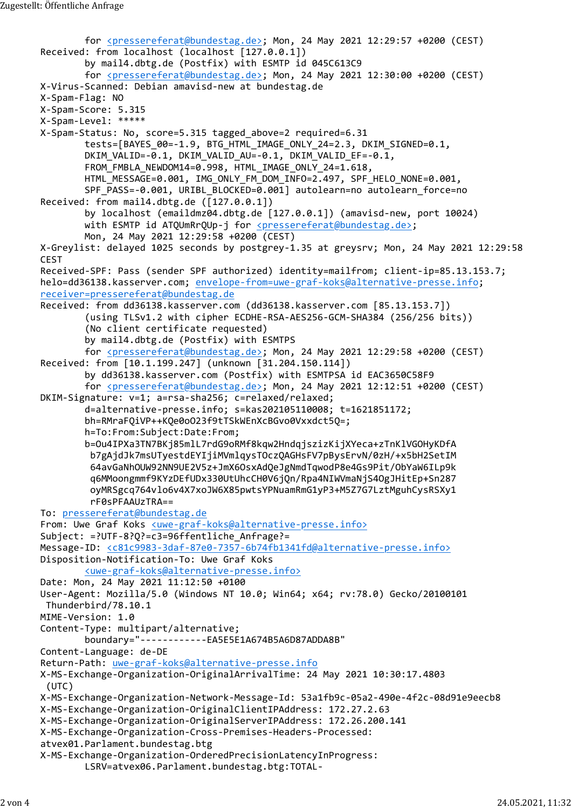for <pressereferat@bundestag.de>; Mon, 24 May 2021 12:29:57 +0200 (CEST) Received: from localhost (localhost [127.0.0.1]) by mail4.dbtg.de (Postfix) with ESMTP id 045C613C9 for <pressereferat@bundestag.de>; Mon, 24 May 2021 12:30:00 +0200 (CEST) X-Virus-Scanned: Debian amavisd-new at bundestag.de X-Spam-Flag: NO X-Spam-Score: 5.315 X-Spam-Level: \*\*\*\*\* X-Spam-Status: No, score=5.315 tagged\_above=2 required=6.31 tests=[BAYES\_00=-1.9, BTG\_HTML\_IMAGE\_ONLY\_24=2.3, DKIM\_SIGNED=0.1, DKIM\_VALID=-0.1, DKIM\_VALID\_AU=-0.1, DKIM\_VALID\_EF=-0.1, FROM\_FMBLA\_NEWDOM14=0.998, HTML\_IMAGE\_ONLY\_24=1.618, HTML\_MESSAGE=0.001, IMG\_ONLY\_FM\_DOM\_INFO=2.497, SPF\_HELO\_NONE=0.001, SPF\_PASS=-0.001, URIBL\_BLOCKED=0.001] autolearn=no autolearn\_force=no Received: from mail4.dbtg.de ([127.0.0.1]) by localhost (emaildmz04.dbtg.de [127.0.0.1]) (amavisd-new, port 10024) with ESMTP id ATQUmRrQUp-j for <pressereferat@bundestag.de>; Mon, 24 May 2021 12:29:58 +0200 (CEST) X-Greylist: delayed 1025 seconds by postgrey-1.35 at greysrv; Mon, 24 May 2021 12:29:58 **CEST CEST** Received-SPF: Pass (sender SPF authorized) identity=mailfrom; client-ip=85.13.153.7; helo=dd36138.kasserver.com; envelope-from=uwe-graf-koks@alternative-presse.info; receiver=pressereferat@bundestag.de Received: from dd36138.kasserver.com (dd36138.kasserver.com [85.13.153.7]) (using TLSv1.2 with cipher ECDHE-RSA-AES256-GCM-SHA384 (256/256 bits)) (No client certificate requested) by mail4.dbtg.de (Postfix) with ESMTPS for <pressereferat@bundestag.de>; Mon, 24 May 2021 12:29:58 +0200 (CEST) Received: from [10.1.199.247] (unknown [31.204.150.114]) by dd36138.kasserver.com (Postfix) with ESMTPSA id EAC3650C58F9 for <pressereferat@bundestag.de>; Mon, 24 May 2021 12:12:51 +0200 (CEST) DKIM-Signature: v=1; a=rsa-sha256; c=relaxed/relaxed; d=alternative-presse.info; s=kas202105110008; t=1621851172; bh=RMraFQiVP++KQe0oO23f9tTSkWEnXcBGvo0Vxxdct5Q=; h=To:From:Subject:Date:From; b=Ou4IPXa3TN7BKj85mlL7rdG9oRMf8kqw2HndqjszizKijXYeca+zTnKlVGOHyKDfA b7gAjdJk7msUTyestdEYIjiMVmlqysTOczQAGHsFV7pBysErvN/0zH/+x5bH2SetIM 64avGaNhOUW92NN9UE2V5z+JmX6OsxAdQeJgNmdTqwodP8e4Gs9Pit/ObYaW6ILp9k q6MMoongmmf9KYzDEfUDx330UtUhcCH0V6jQn/Rpa4NIWVmaNjS4OgJHitEp+Sn287 oyMRSgcq764vlo6v4X7xoJW6X85pwtsYPNuamRmG1yP3+M5Z7G7LztMguhCysRSXy1 rF0sPFAAUzTRA== To: pressereferat@bundestag.de From: Uwe Graf Koks <uwe-graf-koks@alternative-presse.info> Subject: =?UTF-8?Q?=c3=96ffentliche\_Anfrage?= Message-ID: <c81c9983-3daf-87e0-7357-6b74fb1341fd@alternative-presse.info> Disposition-Notification-To: Uwe Graf Koks <uwe-graf-koks@alternative-presse.info> Date: Mon, 24 May 2021 11:12:50 +0100 User-Agent: Mozilla/5.0 (Windows NT 10.0; Win64; x64; rv:78.0) Gecko/20100101 Thunderbird/78.10.1 MIME-Version: 1.0 Content-Type: multipart/alternative; boundary="------------EA5E5E1A674B5A6D87ADDA8B" Content-Language: de-DE Return-Path: uwe-graf-koks@alternative-presse.info X-MS-Exchange-Organization-OriginalArrivalTime: 24 May 2021 10:30:17.4803 (UTC) X-MS-Exchange-Organization-Network-Message-Id: 53a1fb9c-05a2-490e-4f2c-08d91e9eecb8 X-MS-Exchange-Organization-OriginalClientIPAddress: 172.27.2.63 X-MS-Exchange-Organization-OriginalServerIPAddress: 172.26.200.141 X-MS-Exchange-Organization-Cross-Premises-Headers-Processed: atvex01.Parlament.bundestag.btg X-MS-Exchange-Organization-OrderedPrecisionLatencyInProgress: LSRV=atvex06.Parlament.bundestag.btg:TOTAL-Zugestellt:Öffentliche Anfrage<br>for <u><pressereferat@bundestag.de></u>; Mon, 24 May 2021 12:29:57 +0200 (CEST)<br>Received: from localhost (localhost [127.0.0.1])<br>by mail4.dbtg.de (Postfix) with ESMTP id 045C613C9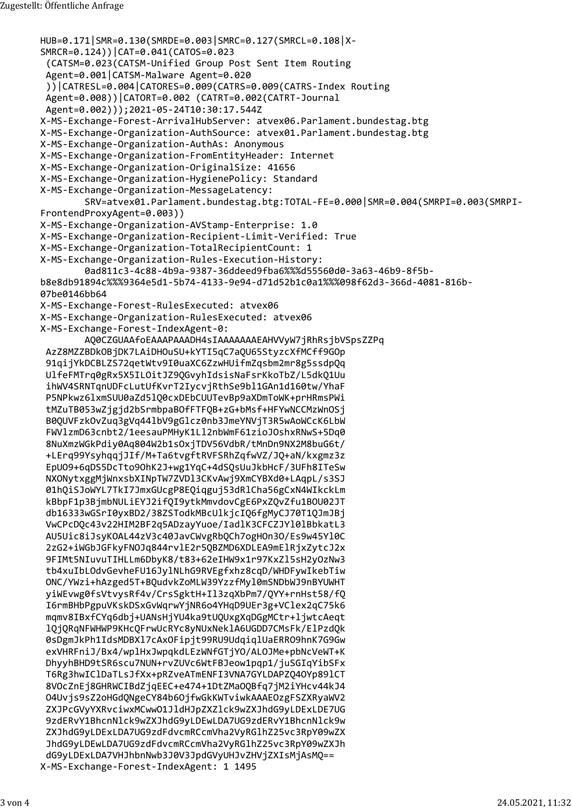```
HUB=0.171|SMR=0.130(SMRDE=0.003|SMRC=0.127(SMRCL=0.108|X-
       SMRCR=0.124))|CAT=0.041(CATOS=0.023
         (CATSM=0.023(CATSM-Unified Group Post Sent Item Routing
         Agent=0.001|CATSM-Malware Agent=0.020
         ))|CATRESL=0.004|CATORES=0.009(CATRS=0.009(CATRS-Index Routing
         Agent=0.008))|CATORT=0.002 (CATRT=0.002(CATRT-Journal
         Agent=0.002)));2021-05-24T10:30:17.544Z
       X-MS-Exchange-Forest-ArrivalHubServer: atvex06.Parlament.bundestag.btg
       X-MS-Exchange-Organization-AuthSource: atvex01.Parlament.bundestag.btg
       X-MS-Exchange-Organization-AuthAs: Anonymous
       X-MS-Exchange-Organization-FromEntityHeader: Internet
       X-MS-Exchange-Organization-OriginalSize: 41656
       X-MS-Exchange-Organization-HygienePolicy: Standard
       X-MS-Exchange-Organization-MessageLatency:
               SRV=atvex01.Parlament.bundestag.btg:TOTAL-FE=0.000|SMR=0.004(SMRPI=0.003(SMRPI-
       FrontendProxyAgent=0.003))
       X-MS-Exchange-Organization-AVStamp-Enterprise: 1.0
       X-MS-Exchange-Organization-Recipient-Limit-Verified: True
       X-MS-Exchange-Organization-TotalRecipientCount: 1
       X-MS-Exchange-Organization-Rules-Execution-History:
               0ad811c3-4c88-4b9a-9387-36ddeed9fba6%%%d55560d0-3a63-46b9-8f5b-
       b8e8db91894c%%%9364e5d1-5b74-4133-9e94-d71d52b1c0a1%%%098f62d3-366d-4081-816b-
       07be0146bb64
       X-MS-Exchange-Forest-RulesExecuted: atvex06
       X-MS-Exchange-Organization-RulesExecuted: atvex06
       X-MS-Exchange-Forest-IndexAgent-0:
               AQ0CZGUAAfoEAAAPAAADH4sIAAAAAAAEAHVVyW7jRhRsjbVSpsZZPq
         AzZ8MZZBDkOBjDK7LAiDHOuSU+kYTI5qC7aQU65StyzcXfMCff9GOp
         91qijYkDCBLZS72qetWtv9I0uaXC6ZzwHUifmZqsbm2mr8g5ssdpQq
         UlfeFMTrq0gRx5X5ILOitJZ9QGvyhIdsisNaFsrKkoTbZ/L5dkQ1Uu
         ihWV4SRNTqnUDFcLutUfKvrT2IycvjRthSe9bl1GAn1d160tw/YhaF
         P5NPkwz6lxmSUU0aZd5lQ0cxDEbCUUTevBp9aXDmToWK+prHRmsPWi
         tMZuTB053wZjgjd2bSrmbpaBOfFTFQB+zG+bMsf+HFYwNCCMzWnOSj
         B0QUVFzkOvZuq3gVq44lbV9gGlcz0nb3JmeYNVjT3R5wAoWCcK6LbW
         FWVlzmD63cnbt2/1eesauPMHyK1Ll2nbWmF61zioJOshxRNwS+5Dq0
         8NuXmzWGkPdiy0Aq804W2b1sOxjTDV56VdbR/tMnDn9NX2M8buG6t/
         +LErq99YsyhqqjJIf/M+Ta6tvgftRVFSRhZqfwVZ/JQ+aN/kxgmz3z
         EpUO9+6qDS5DcTto9OhK2J+wg1YqC+4dSQsUuJkbHcF/3UFh8ITeSw
         NXONytxggMjWnxsbXINpTW7ZVDl3CKvAwj9XmCYBXd0+LAqpL/s3SJ
         01hQiSJoWYL7TkI7JmxGUcgP8EQiqguj53dRlCha56gCxN4WIkckLm
         kBbpF1p3BjmbNULiEYJ2ifQI9ytkMmvdovCgE6PxZQvZfu1BOU02JT
         db16333wGSrI0yxBD2/38ZSTodkMBcUlkjcIQ6fgMyCJ70T1QJmJBj
         VwCPcDQc43v22HIM2BF2q5ADzayYuoe/IadlK3CFCZJYl0lBbkatL3
         AU5Uic8iJsyKOAL44zV3c40JavCWvgRbQCh7ogHOn3O/Es9w45Yl0C
         2zG2+iWGbJGFkyFNOJq844rvlE2r5QBZMD6XDLEA9mElRjxZytcJ2x
         9FIMt5NIuvuTIHLLm6DbyK8/t83+62eIHW9x1r97KxZl5sH2yOzNw3
         tb4xuIbLOdvGevheFU16JylNLhG9RVEgfxhz8cqD/WHDFywIkebTiw
         ONC/YWzi+hAzged5T+BQudvkZoMLW39YzzfMyl0mSNDbWJ9nBYUWHT
         yiWEvwg0fsVtvysRf4v/CrsSgktH+Il3zqXbPm7/QYY+rnHst58/fQ
         I6rmBHbPgpuVKskDSxGvWqrwYjNR6o4YHqD9UEr3g+VClex2qC75k6
         mqmv8IBxfCYq6dbj+UANsHjYU4ka9tUQUxgXqDGgMCtr+ljwtcAeqt
         lQjQRqNFWHWP9KHcQFrwUcRYc8yNUxNeklA6UGDD7CMsFk/ElPzdQk
         0sDgmJkPh1IdsMDBXl7cAxOFipjt99RU9UdqiqlUaERRO9hnK7G9Gw
         exVHRFniJ/Bx4/wplHxJwpqkdLEzWNfGTjYO/ALOJMe+pbNcVeWT+K
         DhyyhBHD9tSR6scu7NUN+rvZUVc6WtFBJeow1pqp1/juSGIqYibSFx
         T6Rg3hwIClDaTLsJfXx+pRZveATmENFI3VNA7GYLDAPZQ4OYp89lCT
         8VOcZnEj8GHRWCIBdZjqEEC+e474+1DtZMaOQBfq7jM2iYHcv44kJ4
         O4Uvjs9sZ2oHGdQNgeCY84b6OjfwGkKWTviwkAAAEOzgFSZXRyaWV2
         ZXJPcGVyYXRvciwxMCwwO1JldHJpZXZlck9wZXJhdG9yLDExLDE7UG
         9zdERvY1BhcnNlck9wZXJhdG9yLDEwLDA7UG9zdERvY1BhcnNlck9w
         ZXJhdG9yLDExLDA7UG9zdFdvcmRCcmVha2VyRGlhZ25vc3RpY09wZX
         JhdG9yLDEwLDA7UG9zdFdvcmRCcmVha2VyRGlhZ25vc3RpY09wZXJh
         dG9yLDExLDA7VHJhbnNwb3J0V3JpdGVyUHJvZHVjZXIsMjAsMQ==
       X-MS-Exchange-Forest-IndexAgent: 1 1495
Zugestellt:Öffentliche Anfrage<br>HUB=0.171|SMR=0.130(SMRDE=0.003|SMRC=0.127(SMRCL=0.108|X-<br>SMRCR=0.124))|CAT=0.041(CATOS=0.023<br>(CATSM=0.023(CATSM-Unified Group Post Sent Item Routing
```